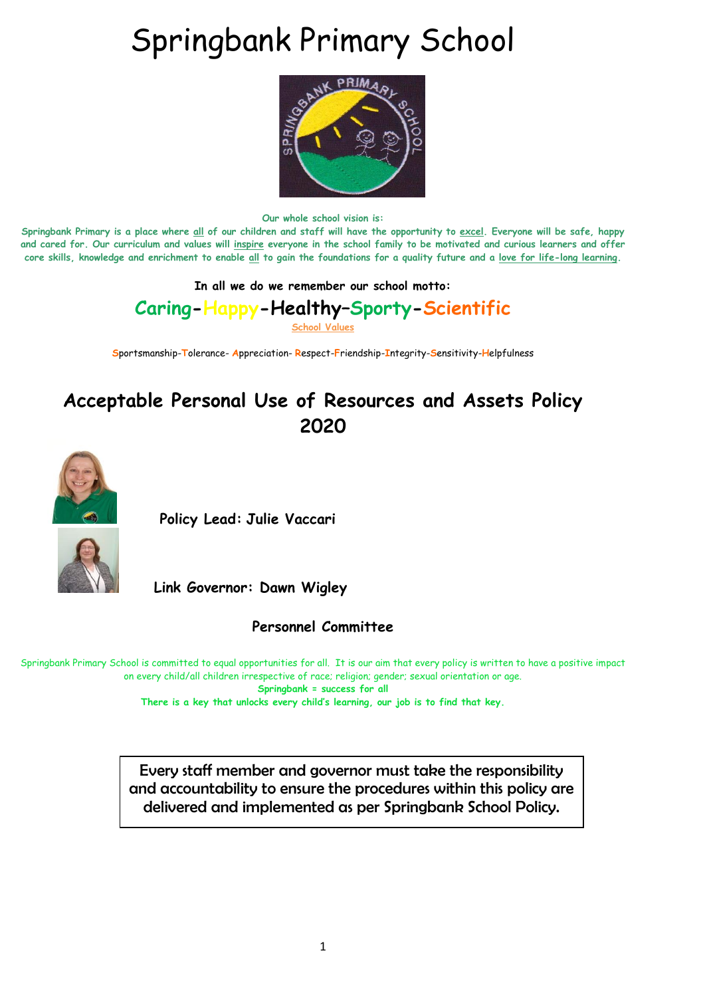# Springbank Primary School



**Our whole school vision is:**

**Springbank Primary is a place where all of our children and staff will have the opportunity to excel. Everyone will be safe, happy and cared for. Our curriculum and values will inspire everyone in the school family to be motivated and curious learners and offer core skills, knowledge and enrichment to enable all to gain the foundations for a quality future and a love for life-long learning.**

#### **In all we do we remember our school motto:**

**Caring-Happy-Healthy–Sporty-Scientific**

**School Values**

**S**portsmanship-**T**olerance- **A**ppreciation- **R**espect-**F**riendship-**I**ntegrity-**S**ensitivity-**H**elpfulness

## **Acceptable Personal Use of Resources and Assets Policy 2020**



 **Policy Lead: Julie Vaccari**



**Link Governor: Dawn Wigley** 

**Personnel Committee**

Springbank Primary School is committed to equal opportunities for all. It is our aim that every policy is written to have a positive impact on every child/all children irrespective of race; religion; gender; sexual orientation or age. **Springbank = success for all There is a key that unlocks every child's learning, our job is to find that key.**

Every staff member and governor must take the responsibility and accountability to ensure the procedures within this policy are delivered and implemented as per Springbank School Policy.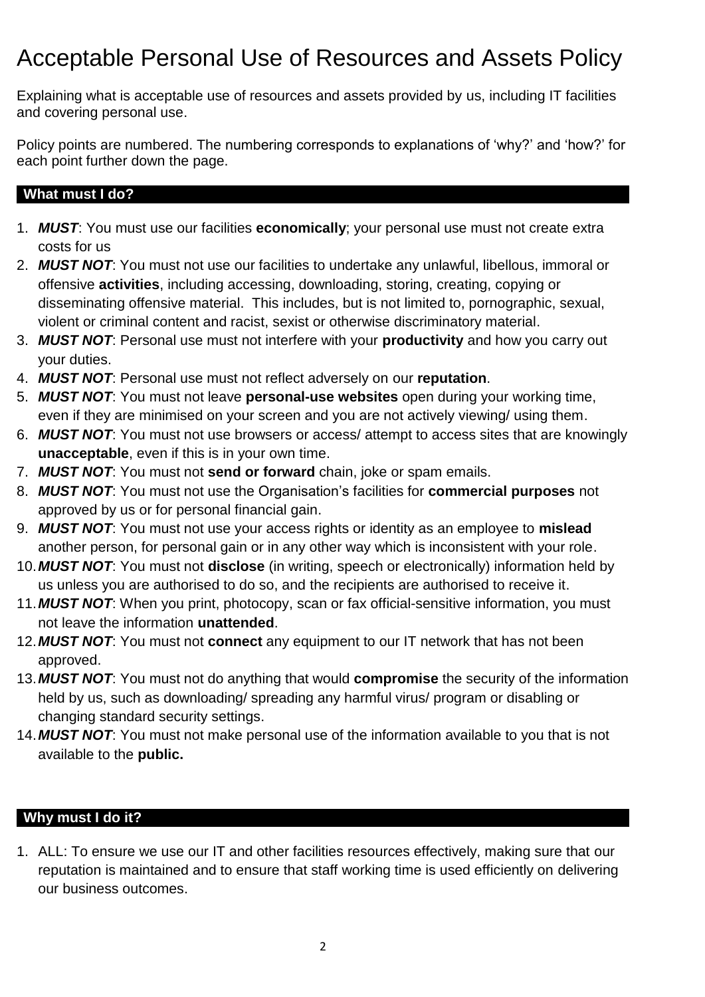## Acceptable Personal Use of Resources and Assets Policy

Explaining what is acceptable use of resources and assets provided by us, including IT facilities and covering personal use.

Policy points are numbered. The numbering corresponds to explanations of 'why?' and 'how?' for each point further down the page.

#### **What must I do?**

- 1. *MUST*: You must use our facilities **economically**; your personal use must not create extra costs for us
- 2. *MUST NOT*: You must not use our facilities to undertake any unlawful, libellous, immoral or offensive **activities**, including accessing, downloading, storing, creating, copying or disseminating offensive material. This includes, but is not limited to, pornographic, sexual, violent or criminal content and racist, sexist or otherwise discriminatory material.
- 3. *MUST NOT*: Personal use must not interfere with your **productivity** and how you carry out your duties.
- 4. *MUST NOT*: Personal use must not reflect adversely on our **reputation**.
- 5. *MUST NOT*: You must not leave **personal-use websites** open during your working time, even if they are minimised on your screen and you are not actively viewing/ using them.
- 6. *MUST NOT*: You must not use browsers or access/ attempt to access sites that are knowingly **unacceptable**, even if this is in your own time.
- 7. *MUST NOT*: You must not **send or forward** chain, joke or spam emails.
- 8. *MUST NOT*: You must not use the Organisation's facilities for **commercial purposes** not approved by us or for personal financial gain.
- 9. *MUST NOT*: You must not use your access rights or identity as an employee to **mislead** another person, for personal gain or in any other way which is inconsistent with your role.
- 10.*MUST NOT*: You must not **disclose** (in writing, speech or electronically) information held by us unless you are authorised to do so, and the recipients are authorised to receive it.
- 11.*MUST NOT*: When you print, photocopy, scan or fax official-sensitive information, you must not leave the information **unattended**.
- 12.*MUST NOT*: You must not **connect** any equipment to our IT network that has not been approved.
- 13.*MUST NOT*: You must not do anything that would **compromise** the security of the information held by us, such as downloading/ spreading any harmful virus/ program or disabling or changing standard security settings.
- 14.*MUST NOT*: You must not make personal use of the information available to you that is not available to the **public.**

#### **Why must I do it?**

1. ALL: To ensure we use our IT and other facilities resources effectively, making sure that our reputation is maintained and to ensure that staff working time is used efficiently on delivering our business outcomes.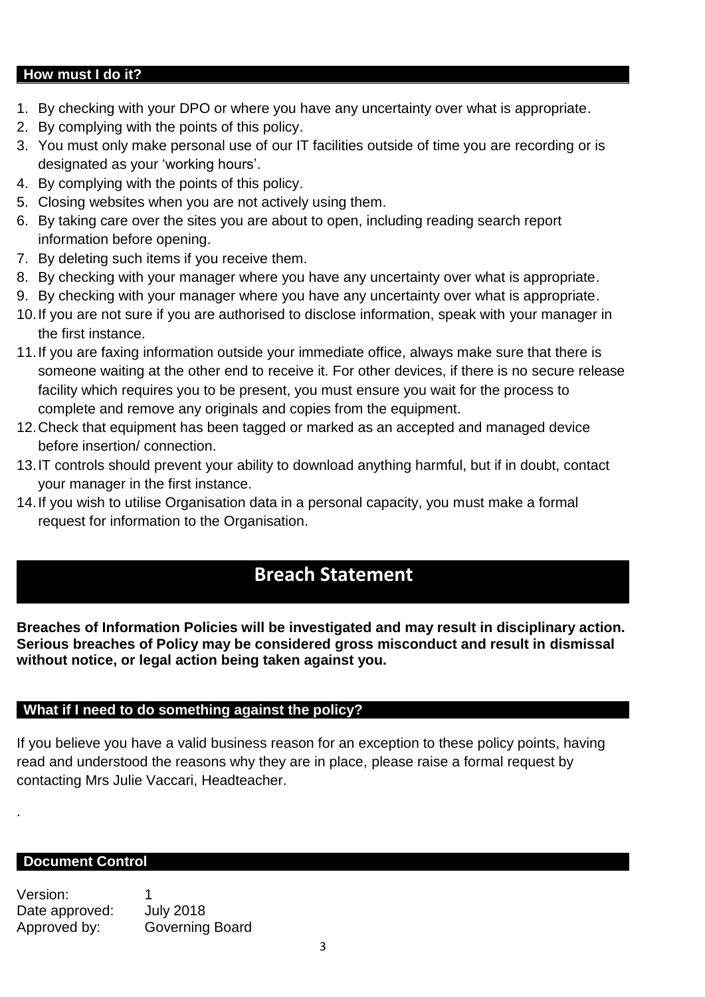#### **How must I do it?**

- 1. By checking with your DPO or where you have any uncertainty over what is appropriate.
- 2. By complying with the points of this policy.
- 3. You must only make personal use of our IT facilities outside of time you are recording or is designated as your 'working hours'.
- 4. By complying with the points of this policy.
- 5. Closing websites when you are not actively using them.
- 6. By taking care over the sites you are about to open, including reading search report information before opening.
- 7. By deleting such items if you receive them.
- 8. By checking with your manager where you have any uncertainty over what is appropriate.
- 9. By checking with your manager where you have any uncertainty over what is appropriate.
- 10.If you are not sure if you are authorised to disclose information, speak with your manager in the first instance.
- 11.If you are faxing information outside your immediate office, always make sure that there is someone waiting at the other end to receive it. For other devices, if there is no secure release facility which requires you to be present, you must ensure you wait for the process to complete and remove any originals and copies from the equipment.
- 12.Check that equipment has been tagged or marked as an accepted and managed device before insertion/ connection.
- 13.IT controls should prevent your ability to download anything harmful, but if in doubt, contact your manager in the first instance.
- 14.If you wish to utilise Organisation data in a personal capacity, you must make a formal request for information to the Organisation.

## **Breach Statement**

**Breaches of Information Policies will be investigated and may result in disciplinary action. Serious breaches of Policy may be considered gross misconduct and result in dismissal without notice, or legal action being taken against you.**

#### **What if I need to do something against the policy?**

If you believe you have a valid business reason for an exception to these policy points, having read and understood the reasons why they are in place, please raise a formal request by contacting Mrs Julie Vaccari, Headteacher.

#### **Document Control**

.

Version: 1 Date approved: July 2018 Approved by: Governing Board